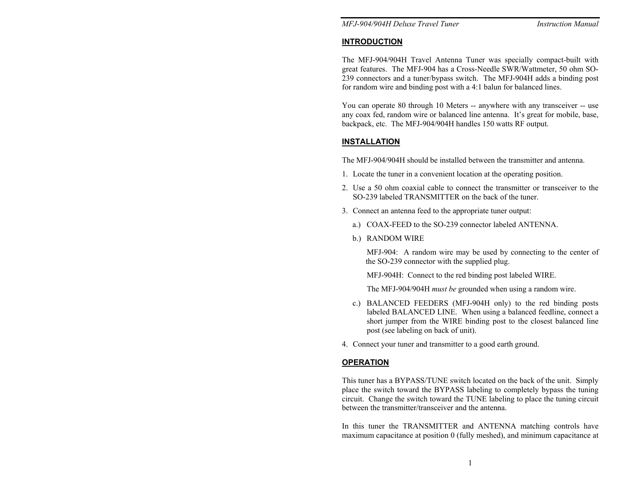*MFJ-904/904H Deluxe Travel Tuner Instruction Manual* 

#### **INTRODUCTION**

The MFJ-904/904H Travel Antenna Tuner was specially compact-built with great features. The MFJ-904 has a Cross-Needle SWR/Wattmeter, 50 ohm SO-239 connectors and a tuner/bypass switch. The MFJ-904H adds a binding post for random wire and binding post with a 4:1 balun for balanced lines.

You can operate 80 through 10 Meters -- anywhere with any transceiver -- use any coax fed, random wire or balanced line antenna. It's great for mobile, base, backpack, etc. The MFJ-904/904H handles 150 watts RF output.

## **INSTALLATION**

The MFJ-904/904H should be installed between the transmitter and antenna.

- 1. Locate the tuner in a convenient location at the operating position.
- 2. Use a 50 ohm coaxial cable to connect the transmitter or transceiver to the SO-239 labeled TRANSMITTER on the back of the tuner.
- 3. Connect an antenna feed to the appropriate tuner output:
	- a.) COAX-FEED to the SO-239 connector labeled ANTENNA.
	- b.) RANDOM WIRE

MFJ-904: A random wire may be used by connecting to the center of the SO-239 connector with the supplied plug.

MFJ-904H: Connect to the red binding post labeled WIRE.

The MFJ-904/904H *must be* grounded when using a random wire.

- c.) BALANCED FEEDERS (MFJ-904H only) to the red binding posts labeled BALANCED LINE. When using a balanced feedline, connect a short jumper from the WIRE binding post to the closest balanced line post (see labeling on back of unit).
- 4. Connect your tuner and transmitter to a good earth ground.

## **OPERATION**

This tuner has a BYPASS/TUNE switch located on the back of the unit. Simply place the switch toward the BYPASS labeling to completely bypass the tuning circuit. Change the switch toward the TUNE labeling to place the tuning circuit between the transmitter/transceiver and the antenna.

In this tuner the TRANSMITTER and ANTENNA matching controls have maximum capacitance at position 0 (fully meshed), and minimum capacitance at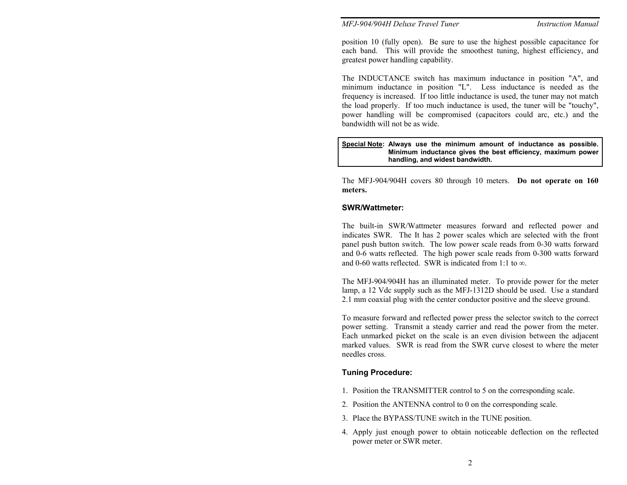*MFJ-904/904H Deluxe Travel Tuner Instruction Manual* 

position 10 (fully open). Be sure to use the highest possible capacitance for each band. This will provide the smoothest tuning, highest efficiency, and greatest power handling capability.

The INDUCTANCE switch has maximum inductance in position "A", and minimum inductance in position "L". Less inductance is needed as the frequency is increased. If too little inductance is used, the tuner may not match the load properly. If too much inductance is used, the tuner will be "touchy", power handling will be compromised (capacitors could arc, etc.) and the bandwidth will not be as wide.

#### **Special Note: Always use the minimum amount of inductance as possible. Minimum inductance gives the best efficiency, maximum power handling, and widest bandwidth.**

The MFJ-904/904H covers 80 through 10 meters. **Do not operate on 160 meters.** 

#### **SWR/Wattmeter:**

The built-in SWR/Wattmeter measures forward and reflected power and indicates SWR. The It has 2 power scales which are selected with the front panel push button switch. The low power scale reads from 0-30 watts forward and 0-6 watts reflected. The high power scale reads from 0-300 watts forward and 0-60 watts reflected. SWR is indicated from 1:1 to ∞.

The MFJ-904/904H has an illuminated meter. To provide power for the meter lamp, a 12 Vdc supply such as the MFJ-1312D should be used. Use a standard 2.1 mm coaxial plug with the center conductor positive and the sleeve ground.

To measure forward and reflected power press the selector switch to the correct power setting. Transmit a steady carrier and read the power from the meter. Each unmarked picket on the scale is an even division between the adjacent marked values. SWR is read from the SWR curve closest to where the meter needles cross.

## **Tuning Procedure:**

- 1. Position the TRANSMITTER control to 5 on the corresponding scale.
- 2. Position the ANTENNA control to 0 on the corresponding scale.
- 3. Place the BYPASS/TUNE switch in the TUNE position.
- 4. Apply just enough power to obtain noticeable deflection on the reflected power meter or SWR meter.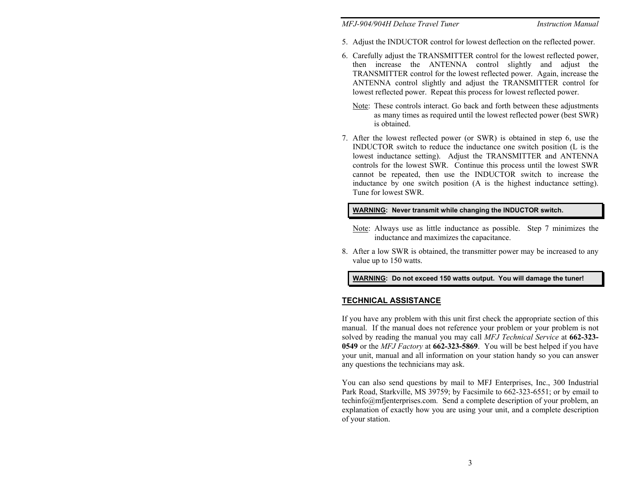*MFJ-904/904H Deluxe Travel Tuner* 

- 5. Adjust the INDUCTOR control for lowest deflection on the reflected power.
- 6. Carefully adjust the TRANSMITTER control for the lowest reflected power, then increase the ANTENNA control slightly and adjust the TRANSMITTER control for the lowest reflected power. Again, increase the ANTENNA control slightly and adjust the TRANSMITTER control for lowest reflected power. Repeat this process for lowest reflected power.
	- Note: These controls interact. Go back and forth between these adjustments as many times as required until the lowest reflected power (best SWR) is obtained.
- 7. After the lowest reflected power (or SWR) is obtained in step 6, use the INDUCTOR switch to reduce the inductance one switch position (L is the lowest inductance setting). Adjust the TRANSMITTER and ANTENNA controls for the lowest SWR. Continue this process until the lowest SWR cannot be repeated, then use the INDUCTOR switch to increase the inductance by one switch position (A is the highest inductance setting). Tune for lowest SWR.

#### **WARNING: Never transmit while changing the INDUCTOR switch.**

- Note: Always use as little inductance as possible. Step 7 minimizes the inductance and maximizes the capacitance.
- 8. After a low SWR is obtained, the transmitter power may be increased to any value up to 150 watts.

#### **WARNING: Do not exceed 150 watts output. You will damage the tuner!**

## **TECHNICAL ASSISTANCE**

If you have any problem with this unit first check the appropriate section of this manual. If the manual does not reference your problem or your problem is not solved by reading the manual you may call *MFJ Technical Service* at **662-323- 0549** or the *MFJ Factory* at **662-323-5869**. You will be best helped if you have your unit, manual and all information on your station handy so you can answer any questions the technicians may ask.

You can also send questions by mail to MFJ Enterprises, Inc., 300 Industrial Park Road, Starkville, MS 39759; by Facsimile to 662-323-6551; or by email to techinfo@mfjenterprises.com. Send a complete description of your problem, an explanation of exactly how you are using your unit, and a complete description of your station.